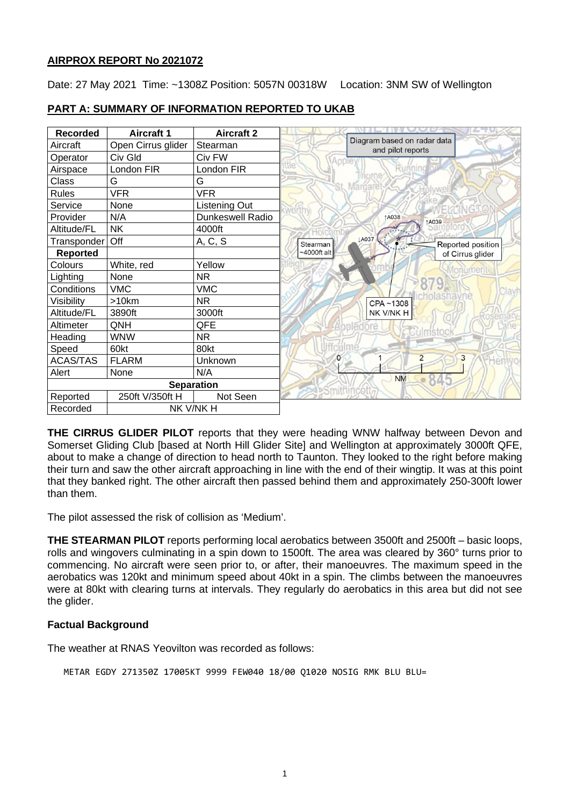## **AIRPROX REPORT No 2021072**

Date: 27 May 2021 Time: ~1308Z Position: 5057N 00318W Location: 3NM SW of Wellington

| <b>Recorded</b>       | <b>Aircraft 1</b>  | <b>Aircraft 2</b> |                                                  |
|-----------------------|--------------------|-------------------|--------------------------------------------------|
| Aircraft              | Open Cirrus glider | Stearman          | Diagram based on radar data<br>and pilot reports |
| Operator              | Civ Gld            | Civ FW            |                                                  |
| Airspace              | London FIR         | London FIR        |                                                  |
| Class                 | G                  | G                 |                                                  |
| <b>Rules</b>          | <b>VFR</b>         | VFR               |                                                  |
| Service               | None               | Listening Out     |                                                  |
| Provider              | N/A                | Dunkeswell Radio  | 1A038<br>A039                                    |
| Altitude/FL           | <b>NK</b>          | 4000ft            |                                                  |
| Transponder           | Off                | A, C, S           | <b>LA037</b><br>Reported position<br>Stearman    |
| <b>Reported</b>       |                    |                   | $~1000$ ft alt<br>of Cirrus glider               |
| Colours               | White, red         | Yellow            | umen                                             |
| Lighting              | None               | NR.               |                                                  |
| Conditions            | <b>VMC</b>         | <b>VMC</b>        |                                                  |
| Visibility            | >10km              | <b>NR</b>         | CPA~1308                                         |
| Altitude/FL           | 3890ft             | 3000ft            | NK V/NK H                                        |
| Altimeter             | QNH                | QFE               |                                                  |
| Heading               | <b>WNW</b>         | <b>NR</b>         |                                                  |
| Speed                 | 60kt               | 80kt              |                                                  |
| <b>ACAS/TAS</b>       | <b>FLARM</b>       | Unknown           | 3<br>0                                           |
| Alert                 | None               | N/A               | <b>NM</b>                                        |
| <b>Separation</b>     |                    |                   |                                                  |
| Reported              | 250ft V/350ft H    | Not Seen          |                                                  |
| Recorded<br>NK V/NK H |                    |                   |                                                  |

### **PART A: SUMMARY OF INFORMATION REPORTED TO UKAB**

**THE CIRRUS GLIDER PILOT** reports that they were heading WNW halfway between Devon and Somerset Gliding Club [based at North Hill Glider Site] and Wellington at approximately 3000ft QFE, about to make a change of direction to head north to Taunton. They looked to the right before making their turn and saw the other aircraft approaching in line with the end of their wingtip. It was at this point that they banked right. The other aircraft then passed behind them and approximately 250-300ft lower than them.

The pilot assessed the risk of collision as 'Medium'.

**THE STEARMAN PILOT** reports performing local aerobatics between 3500ft and 2500ft – basic loops, rolls and wingovers culminating in a spin down to 1500ft. The area was cleared by 360° turns prior to commencing. No aircraft were seen prior to, or after, their manoeuvres. The maximum speed in the aerobatics was 120kt and minimum speed about 40kt in a spin. The climbs between the manoeuvres were at 80kt with clearing turns at intervals. They regularly do aerobatics in this area but did not see the glider.

#### **Factual Background**

The weather at RNAS Yeovilton was recorded as follows:

METAR EGDY 271350Z 17005KT 9999 FEW040 18/00 01020 NOSIG RMK BLU BLU=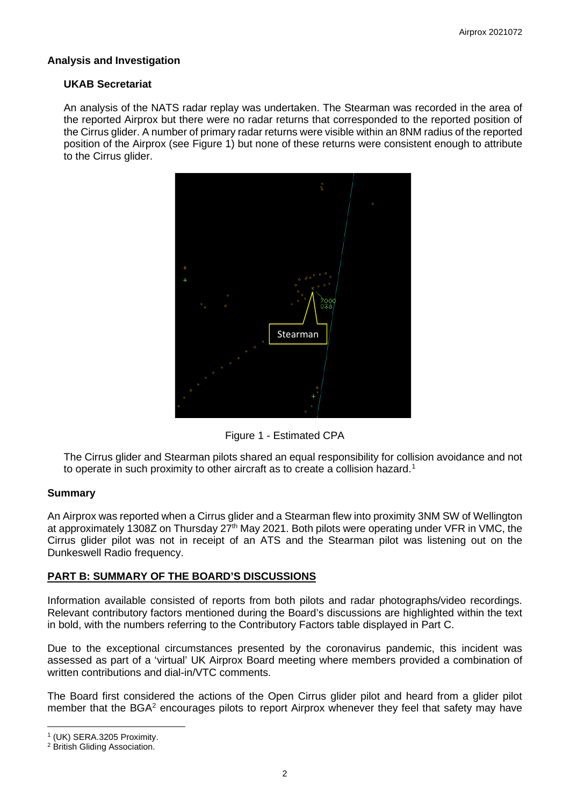### **Analysis and Investigation**

#### **UKAB Secretariat**

An analysis of the NATS radar replay was undertaken. The Stearman was recorded in the area of the reported Airprox but there were no radar returns that corresponded to the reported position of the Cirrus glider. A number of primary radar returns were visible within an 8NM radius of the reported position of the Airprox (see Figure 1) but none of these returns were consistent enough to attribute to the Cirrus glider.



Figure 1 - Estimated CPA

The Cirrus glider and Stearman pilots shared an equal responsibility for collision avoidance and not to operate in such proximity to other aircraft as to create a collision hazard.<sup>[1](#page-1-0)</sup>

#### **Summary**

An Airprox was reported when a Cirrus glider and a Stearman flew into proximity 3NM SW of Wellington at approximately 1308Z on Thursday 27<sup>th</sup> May 2021. Both pilots were operating under VFR in VMC, the Cirrus glider pilot was not in receipt of an ATS and the Stearman pilot was listening out on the Dunkeswell Radio frequency.

#### **PART B: SUMMARY OF THE BOARD'S DISCUSSIONS**

Information available consisted of reports from both pilots and radar photographs/video recordings. Relevant contributory factors mentioned during the Board's discussions are highlighted within the text in bold, with the numbers referring to the Contributory Factors table displayed in Part C.

Due to the exceptional circumstances presented by the coronavirus pandemic, this incident was assessed as part of a 'virtual' UK Airprox Board meeting where members provided a combination of written contributions and dial-in/VTC comments.

The Board first considered the actions of the Open Cirrus glider pilot and heard from a glider pilot member that the  $BGA<sup>2</sup>$  $BGA<sup>2</sup>$  $BGA<sup>2</sup>$  encourages pilots to report Airprox whenever they feel that safety may have

<span id="page-1-0"></span><sup>1</sup> (UK) SERA.3205 Proximity.

<span id="page-1-1"></span><sup>2</sup> British Gliding Association.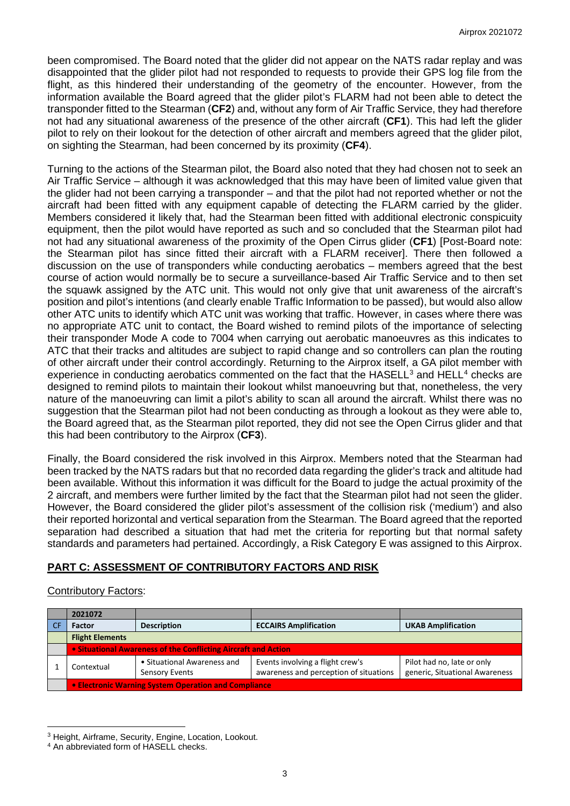been compromised. The Board noted that the glider did not appear on the NATS radar replay and was disappointed that the glider pilot had not responded to requests to provide their GPS log file from the flight, as this hindered their understanding of the geometry of the encounter. However, from the information available the Board agreed that the glider pilot's FLARM had not been able to detect the transponder fitted to the Stearman (**CF2**) and, without any form of Air Traffic Service, they had therefore not had any situational awareness of the presence of the other aircraft (**CF1**). This had left the glider pilot to rely on their lookout for the detection of other aircraft and members agreed that the glider pilot, on sighting the Stearman, had been concerned by its proximity (**CF4**).

Turning to the actions of the Stearman pilot, the Board also noted that they had chosen not to seek an Air Traffic Service – although it was acknowledged that this may have been of limited value given that the glider had not been carrying a transponder – and that the pilot had not reported whether or not the aircraft had been fitted with any equipment capable of detecting the FLARM carried by the glider. Members considered it likely that, had the Stearman been fitted with additional electronic conspicuity equipment, then the pilot would have reported as such and so concluded that the Stearman pilot had not had any situational awareness of the proximity of the Open Cirrus glider (**CF1**) [Post-Board note: the Stearman pilot has since fitted their aircraft with a FLARM receiver]. There then followed a discussion on the use of transponders while conducting aerobatics – members agreed that the best course of action would normally be to secure a surveillance-based Air Traffic Service and to then set the squawk assigned by the ATC unit. This would not only give that unit awareness of the aircraft's position and pilot's intentions (and clearly enable Traffic Information to be passed), but would also allow other ATC units to identify which ATC unit was working that traffic. However, in cases where there was no appropriate ATC unit to contact, the Board wished to remind pilots of the importance of selecting their transponder Mode A code to 7004 when carrying out aerobatic manoeuvres as this indicates to ATC that their tracks and altitudes are subject to rapid change and so controllers can plan the routing of other aircraft under their control accordingly. Returning to the Airprox itself, a GA pilot member with experience in conducting aerobatics commented on the fact that the  $HASELL<sup>3</sup>$  $HASELL<sup>3</sup>$  $HASELL<sup>3</sup>$  and  $HELL<sup>4</sup>$  $HELL<sup>4</sup>$  $HELL<sup>4</sup>$  checks are designed to remind pilots to maintain their lookout whilst manoeuvring but that, nonetheless, the very nature of the manoeuvring can limit a pilot's ability to scan all around the aircraft. Whilst there was no suggestion that the Stearman pilot had not been conducting as through a lookout as they were able to, the Board agreed that, as the Stearman pilot reported, they did not see the Open Cirrus glider and that this had been contributory to the Airprox (**CF3**).

Finally, the Board considered the risk involved in this Airprox. Members noted that the Stearman had been tracked by the NATS radars but that no recorded data regarding the glider's track and altitude had been available. Without this information it was difficult for the Board to judge the actual proximity of the 2 aircraft, and members were further limited by the fact that the Stearman pilot had not seen the glider. However, the Board considered the glider pilot's assessment of the collision risk ('medium') and also their reported horizontal and vertical separation from the Stearman. The Board agreed that the reported separation had described a situation that had met the criteria for reporting but that normal safety standards and parameters had pertained. Accordingly, a Risk Category E was assigned to this Airprox.

# **PART C: ASSESSMENT OF CONTRIBUTORY FACTORS AND RISK**

#### Contributory Factors:

| 2021072                                                        |                                                      |                                                                            |                                                              |  |  |
|----------------------------------------------------------------|------------------------------------------------------|----------------------------------------------------------------------------|--------------------------------------------------------------|--|--|
| <b>Factor</b>                                                  | <b>Description</b>                                   | <b>ECCAIRS Amplification</b>                                               | <b>UKAB Amplification</b>                                    |  |  |
| <b>Flight Elements</b>                                         |                                                      |                                                                            |                                                              |  |  |
| • Situational Awareness of the Conflicting Aircraft and Action |                                                      |                                                                            |                                                              |  |  |
| Contextual                                                     | • Situational Awareness and<br><b>Sensory Events</b> | Events involving a flight crew's<br>awareness and perception of situations | Pilot had no, late or only<br>generic, Situational Awareness |  |  |
| • Electronic Warning System Operation and Compliance           |                                                      |                                                                            |                                                              |  |  |

<span id="page-2-0"></span><sup>3</sup> Height, Airframe, Security, Engine, Location, Lookout.

<span id="page-2-1"></span><sup>4</sup> An abbreviated form of HASELL checks.